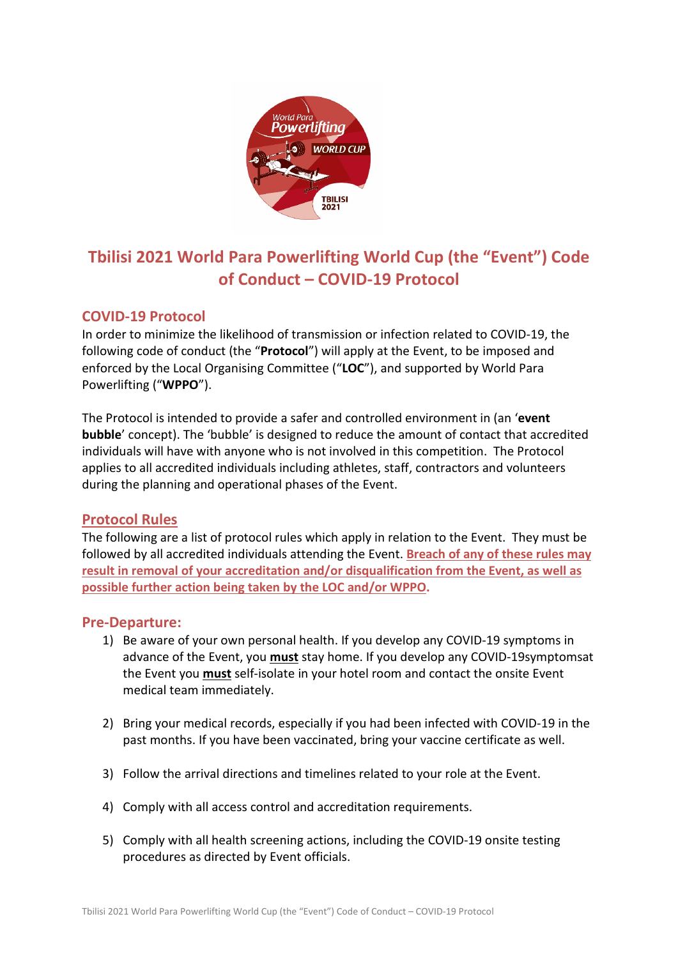

# **Tbilisi 2021 World Para Powerlifting World Cup (the "Event") Code of Conduct – COVID-19 Protocol**

# **COVID-19 Protocol**

In order to minimize the likelihood of transmission or infection related to COVID-19, the following code of conduct (the "**Protocol**") will apply at the Event, to be imposed and enforced by the Local Organising Committee ("**LOC**"), and supported by World Para Powerlifting ("**WPPO**").

The Protocol is intended to provide a safer and controlled environment in (an '**event bubble**' concept). The 'bubble' is designed to reduce the amount of contact that accredited individuals will have with anyone who is not involved in this competition. The Protocol applies to all accredited individuals including athletes, staff, contractors and volunteers during the planning and operational phases of the Event.

# **Protocol Rules**

The following are a list of protocol rules which apply in relation to the Event. They must be followed by all accredited individuals attending the Event. **Breach of any of these rules may result in removal of your accreditation and/or disqualification from the Event, as well as possible further action being taken by the LOC and/or WPPO.**

# **Pre-Departure:**

- 1) Be aware of your own personal health. If you develop any COVID-19 symptoms in advance of the Event, you **must** stay home. If you develop any COVID-19symptomsat the Event you **must** self-isolate in your hotel room and contact the onsite Event medical team immediately.
- 2) Bring your medical records, especially if you had been infected with COVID-19 in the past months. If you have been vaccinated, bring your vaccine certificate as well.
- 3) Follow the arrival directions and timelines related to your role at the Event.
- 4) Comply with all access control and accreditation requirements.
- 5) Comply with all health screening actions, including the COVID-19 onsite testing procedures as directed by Event officials.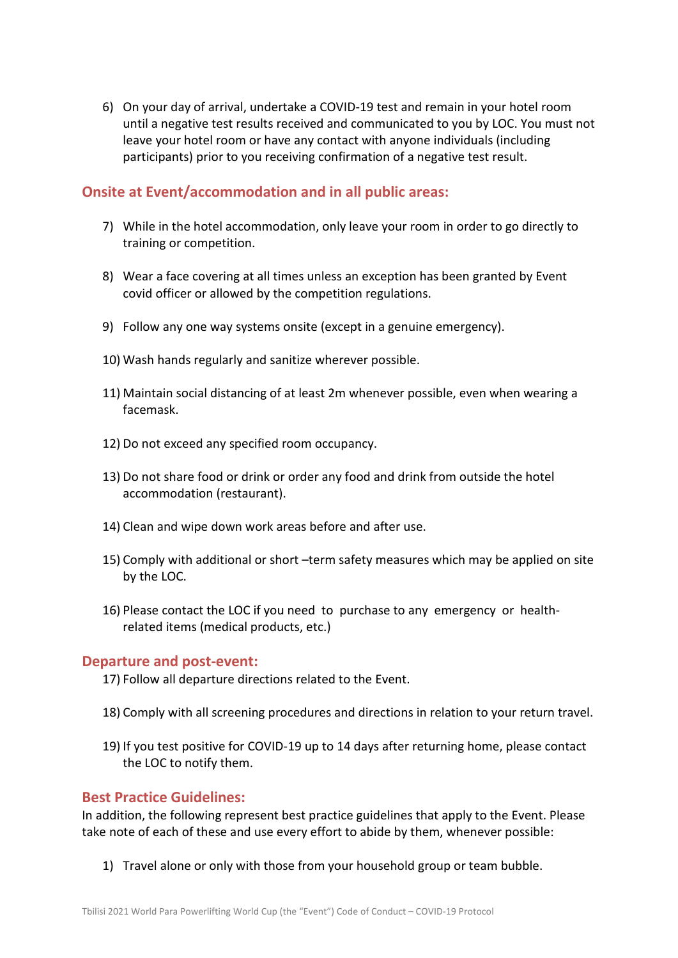6) On your day of arrival, undertake a COVID-19 test and remain in your hotel room until a negative test results received and communicated to you by LOC. You must not leave your hotel room or have any contact with anyone individuals (including participants) prior to you receiving confirmation of a negative test result.

# **Onsite at Event/accommodation and in all public areas:**

- 7) While in the hotel accommodation, only leave your room in order to go directly to training or competition.
- 8) Wear a face covering at all times unless an exception has been granted by Event covid officer or allowed by the competition regulations.
- 9) Follow any one way systems onsite (except in a genuine emergency).
- 10) Wash hands regularly and sanitize wherever possible.
- 11) Maintain social distancing of at least 2m whenever possible, even when wearing a facemask.
- 12) Do not exceed any specified room occupancy.
- 13) Do not share food or drink or order any food and drink from outside the hotel accommodation (restaurant).
- 14) Clean and wipe down work areas before and after use.
- 15) Comply with additional or short –term safety measures which may be applied on site by the LOC.
- 16) Please contact the LOC if you need to purchase to any emergency or healthrelated items (medical products, etc.)

#### **Departure and post-event:**

- 17) Follow all departure directions related to the Event.
- 18) Comply with all screening procedures and directions in relation to your return travel.
- 19) If you test positive for COVID-19 up to 14 days after returning home, please contact the LOC to notify them.

#### **Best Practice Guidelines:**

In addition, the following represent best practice guidelines that apply to the Event. Please take note of each of these and use every effort to abide by them, whenever possible:

1) Travel alone or only with those from your household group or team bubble.